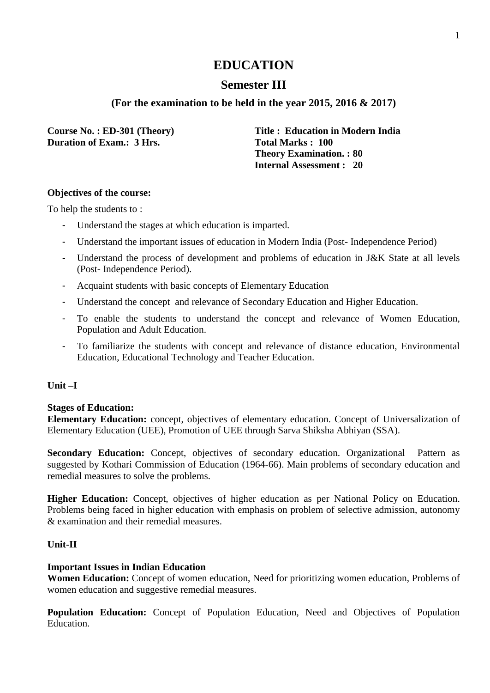## **Semester III**

### **(For the examination to be held in the year 2015, 2016 & 2017)**

**Duration of Exam.: 3 Hrs.** Total Marks : 100

**Course No. : ED-301 (Theory) Title : Education in Modern India Theory Examination. : 80 Internal Assessment : 20**

#### **Objectives of the course:**

To help the students to :

- Understand the stages at which education is imparted.
- Understand the important issues of education in Modern India (Post- Independence Period)
- Understand the process of development and problems of education in J&K State at all levels (Post- Independence Period).
- Acquaint students with basic concepts of Elementary Education
- Understand the concept and relevance of Secondary Education and Higher Education.
- To enable the students to understand the concept and relevance of Women Education, Population and Adult Education.
- To familiarize the students with concept and relevance of distance education, Environmental Education, Educational Technology and Teacher Education.

#### **Unit –I**

#### **Stages of Education:**

**Elementary Education:** concept, objectives of elementary education. Concept of Universalization of Elementary Education (UEE), Promotion of UEE through Sarva Shiksha Abhiyan (SSA).

Secondary Education: Concept, objectives of secondary education. Organizational Pattern as suggested by Kothari Commission of Education (1964-66). Main problems of secondary education and remedial measures to solve the problems.

**Higher Education:** Concept, objectives of higher education as per National Policy on Education. Problems being faced in higher education with emphasis on problem of selective admission, autonomy & examination and their remedial measures.

#### **Unit-II**

#### **Important Issues in Indian Education**

**Women Education:** Concept of women education, Need for prioritizing women education, Problems of women education and suggestive remedial measures.

**Population Education:** Concept of Population Education, Need and Objectives of Population Education.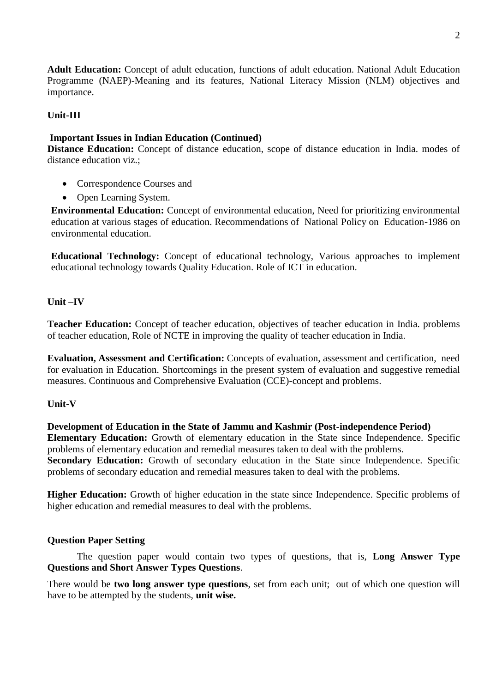**Adult Education:** Concept of adult education, functions of adult education. National Adult Education Programme (NAEP)-Meaning and its features, National Literacy Mission (NLM) objectives and importance.

#### **Unit-III**

#### **Important Issues in Indian Education (Continued)**

**Distance Education:** Concept of distance education, scope of distance education in India. modes of distance education viz.;

- Correspondence Courses and
- Open Learning System.

**Environmental Education:** Concept of environmental education, Need for prioritizing environmental education at various stages of education. Recommendations of National Policy on Education-1986 on environmental education.

**Educational Technology:** Concept of educational technology, Various approaches to implement educational technology towards Quality Education. Role of ICT in education.

#### **Unit –IV**

**Teacher Education:** Concept of teacher education, objectives of teacher education in India. problems of teacher education, Role of NCTE in improving the quality of teacher education in India.

**Evaluation, Assessment and Certification:** Concepts of evaluation, assessment and certification, need for evaluation in Education. Shortcomings in the present system of evaluation and suggestive remedial measures. Continuous and Comprehensive Evaluation (CCE)-concept and problems.

#### **Unit-V**

**Development of Education in the State of Jammu and Kashmir (Post-independence Period) Elementary Education:** Growth of elementary education in the State since Independence. Specific problems of elementary education and remedial measures taken to deal with the problems. **Secondary Education:** Growth of secondary education in the State since Independence. Specific problems of secondary education and remedial measures taken to deal with the problems.

**Higher Education:** Growth of higher education in the state since Independence. Specific problems of higher education and remedial measures to deal with the problems.

#### **Question Paper Setting**

The question paper would contain two types of questions, that is, **Long Answer Type Questions and Short Answer Types Questions**.

There would be **two long answer type questions**, set from each unit; out of which one question will have to be attempted by the students, **unit wise.**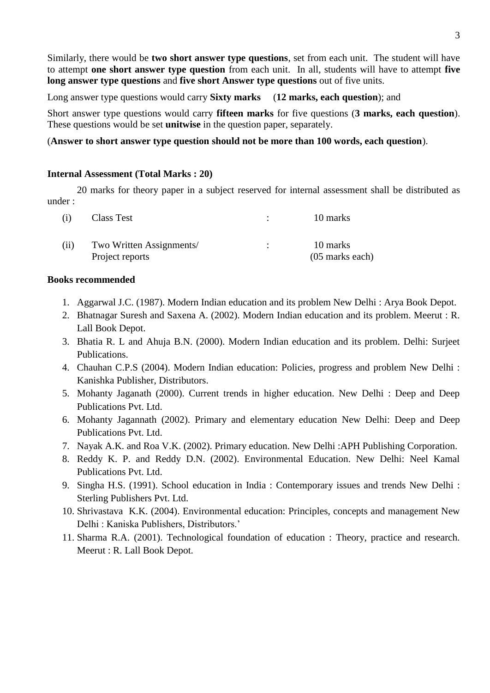Similarly, there would be **two short answer type questions**, set from each unit. The student will have to attempt **one short answer type question** from each unit. In all, students will have to attempt **five long answer type questions** and **five short Answer type questions** out of five units.

Long answer type questions would carry **Sixty marks** (**12 marks, each question**); and

Short answer type questions would carry **fifteen marks** for five questions (**3 marks, each question**). These questions would be set **unitwise** in the question paper, separately.

### (**Answer to short answer type question should not be more than 100 words, each question**).

#### **Internal Assessment (Total Marks : 20)**

20 marks for theory paper in a subject reserved for internal assessment shall be distributed as under :

| (1)  | Class Test                                  | 10 marks                      |
|------|---------------------------------------------|-------------------------------|
| (11) | Two Written Assignments/<br>Project reports | 10 marks<br>$(05$ marks each) |

#### **Books recommended**

- 1. Aggarwal J.C. (1987). Modern Indian education and its problem New Delhi : Arya Book Depot.
- 2. Bhatnagar Suresh and Saxena A. (2002). Modern Indian education and its problem. Meerut : R. Lall Book Depot.
- 3. Bhatia R. L and Ahuja B.N. (2000). Modern Indian education and its problem. Delhi: Surjeet Publications.
- 4. Chauhan C.P.S (2004). Modern Indian education: Policies, progress and problem New Delhi : Kanishka Publisher, Distributors.
- 5. Mohanty Jaganath (2000). Current trends in higher education. New Delhi : Deep and Deep Publications Pvt. Ltd.
- 6. Mohanty Jagannath (2002). Primary and elementary education New Delhi: Deep and Deep Publications Pvt. Ltd.
- 7. Nayak A.K. and Roa V.K. (2002). Primary education. New Delhi :APH Publishing Corporation.
- 8. Reddy K. P. and Reddy D.N. (2002). Environmental Education. New Delhi: Neel Kamal Publications Pvt. Ltd.
- 9. Singha H.S. (1991). School education in India : Contemporary issues and trends New Delhi : Sterling Publishers Pvt. Ltd.
- 10. Shrivastava K.K. (2004). Environmental education: Principles, concepts and management New Delhi : Kaniska Publishers, Distributors.'
- 11. Sharma R.A. (2001). Technological foundation of education : Theory, practice and research. Meerut : R. Lall Book Depot.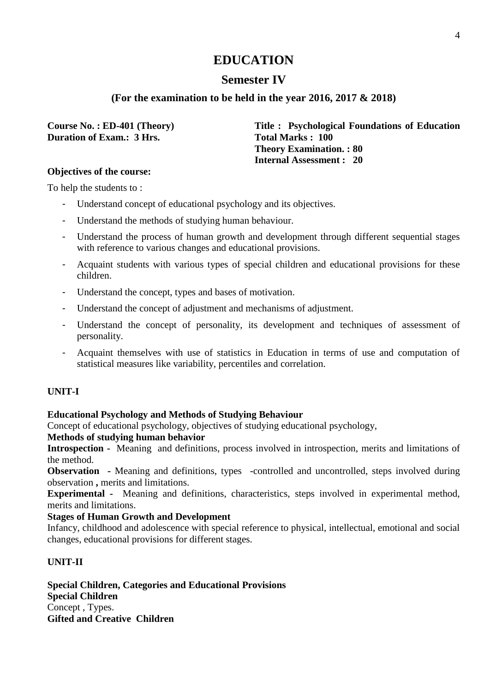## **Semester IV**

## **(For the examination to be held in the year 2016, 2017 & 2018)**

**Duration of Exam.: 3 Hrs.** Total Marks : 100

**Course No. : ED-401 (Theory) Title : Psychological Foundations of Education Theory Examination. : 80 Internal Assessment : 20**

#### **Objectives of the course:**

To help the students to :

- Understand concept of educational psychology and its objectives.
- Understand the methods of studying human behaviour.
- Understand the process of human growth and development through different sequential stages with reference to various changes and educational provisions.
- Acquaint students with various types of special children and educational provisions for these children.
- Understand the concept, types and bases of motivation.
- Understand the concept of adjustment and mechanisms of adjustment.
- Understand the concept of personality, its development and techniques of assessment of personality.
- Acquaint themselves with use of statistics in Education in terms of use and computation of statistical measures like variability, percentiles and correlation.

## **UNIT-I**

## **Educational Psychology and Methods of Studying Behaviour**

Concept of educational psychology, objectives of studying educational psychology,

#### **Methods of studying human behavior**

**Introspection -** Meaning and definitions, process involved in introspection, merits and limitations of the method.

**Observation -** Meaning and definitions, types -controlled and uncontrolled, steps involved during observation **,** merits and limitations.

**Experimental -** Meaning and definitions, characteristics, steps involved in experimental method, merits and limitations.

## **Stages of Human Growth and Development**

Infancy, childhood and adolescence with special reference to physical, intellectual, emotional and social changes, educational provisions for different stages.

## **UNIT-II**

**Special Children, Categories and Educational Provisions Special Children**  Concept , Types. **Gifted and Creative Children**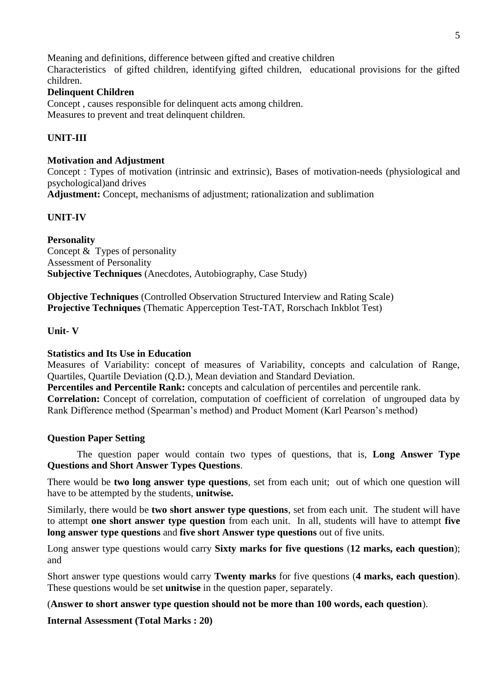Meaning and definitions, difference between gifted and creative children Characteristics of gifted children, identifying gifted children, educational provisions for the gifted children.

## **Delinquent Children**

Concept , causes responsible for delinquent acts among children. Measures to prevent and treat delinquent children.

## **UNIT-III**

#### **Motivation and Adjustment**

Concept : Types of motivation (intrinsic and extrinsic), Bases of motivation-needs (physiological and psychological)and drives

**Adjustment:** Concept, mechanisms of adjustment; rationalization and sublimation

#### **UNIT-IV**

**Personality**  Concept & Types of personality Assessment of Personality **Subjective Techniques** (Anecdotes, Autobiography, Case Study)

**Objective Techniques** (Controlled Observation Structured Interview and Rating Scale) **Projective Techniques** (Thematic Apperception Test-TAT, Rorschach Inkblot Test)

#### **Unit- V**

#### **Statistics and Its Use in Education**

Measures of Variability: concept of measures of Variability, concepts and calculation of Range, Quartiles, Quartile Deviation (Q.D.), Mean deviation and Standard Deviation.

**Percentiles and Percentile Rank:** concepts and calculation of percentiles and percentile rank.

**Correlation:** Concept of correlation, computation of coefficient of correlation of ungrouped data by Rank Difference method (Spearman's method) and Product Moment (Karl Pearson's method)

#### **Question Paper Setting**

The question paper would contain two types of questions, that is, **Long Answer Type Questions and Short Answer Types Questions**.

There would be **two long answer type questions**, set from each unit; out of which one question will have to be attempted by the students, **unitwise.**

Similarly, there would be **two short answer type questions**, set from each unit. The student will have to attempt **one short answer type question** from each unit. In all, students will have to attempt **five long answer type questions** and **five short Answer type questions** out of five units.

Long answer type questions would carry **Sixty marks for five questions** (**12 marks, each question**); and

Short answer type questions would carry **Twenty marks** for five questions (**4 marks, each question**). These questions would be set **unitwise** in the question paper, separately.

(**Answer to short answer type question should not be more than 100 words, each question**).

**Internal Assessment (Total Marks : 20)**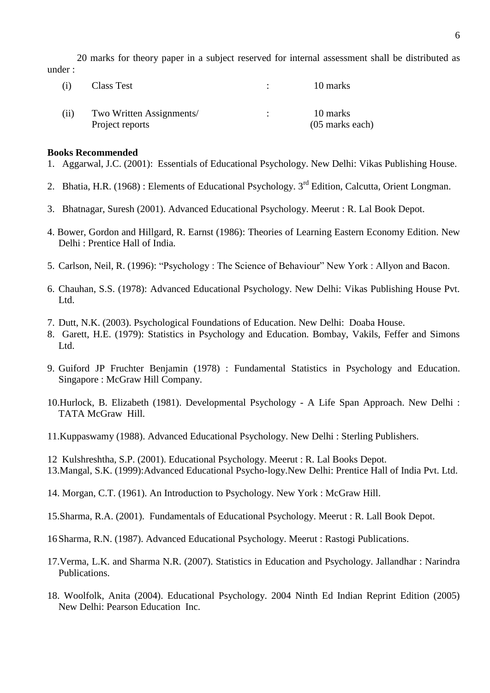20 marks for theory paper in a subject reserved for internal assessment shall be distributed as under :

| (1)  | Class Test                                  | 10 marks                      |
|------|---------------------------------------------|-------------------------------|
| (i1) | Two Written Assignments/<br>Project reports | 10 marks<br>$(05$ marks each) |

#### **Books Recommended**

- 1. Aggarwal, J.C. (2001): Essentials of Educational Psychology. New Delhi: Vikas Publishing House.
- 2. Bhatia, H.R. (1968): Elements of Educational Psychology, 3<sup>rd</sup> Edition, Calcutta, Orient Longman.
- 3. Bhatnagar, Suresh (2001). Advanced Educational Psychology. Meerut : R. Lal Book Depot.
- 4. Bower, Gordon and Hillgard, R. Earnst (1986): Theories of Learning Eastern Economy Edition. New Delhi : Prentice Hall of India.
- 5. Carlson, Neil, R. (1996): "Psychology : The Science of Behaviour" New York : Allyon and Bacon.
- 6. Chauhan, S.S. (1978): Advanced Educational Psychology. New Delhi: Vikas Publishing House Pvt. Ltd.
- 7. Dutt, N.K. (2003). Psychological Foundations of Education. New Delhi: Doaba House.
- 8. Garett, H.E. (1979): Statistics in Psychology and Education. Bombay, Vakils, Feffer and Simons Ltd.
- 9. Guiford JP Fruchter Benjamin (1978) : Fundamental Statistics in Psychology and Education. Singapore : McGraw Hill Company.
- 10.Hurlock, B. Elizabeth (1981). Developmental Psychology A Life Span Approach. New Delhi : TATA McGraw Hill.
- 11.Kuppaswamy (1988). Advanced Educational Psychology. New Delhi : Sterling Publishers.
- 12 Kulshreshtha, S.P. (2001). Educational Psychology. Meerut : R. Lal Books Depot.
- 13.Mangal, S.K. (1999):Advanced Educational Psycho-logy.New Delhi: Prentice Hall of India Pvt. Ltd.
- 14. Morgan, C.T. (1961). An Introduction to Psychology. New York : McGraw Hill.
- 15.Sharma, R.A. (2001). Fundamentals of Educational Psychology. Meerut : R. Lall Book Depot.
- 16Sharma, R.N. (1987). Advanced Educational Psychology. Meerut : Rastogi Publications.
- 17.Verma, L.K. and Sharma N.R. (2007). Statistics in Education and Psychology. Jallandhar : Narindra Publications.
- 18. Woolfolk, Anita (2004). Educational Psychology. 2004 Ninth Ed Indian Reprint Edition (2005) New Delhi: Pearson Education Inc.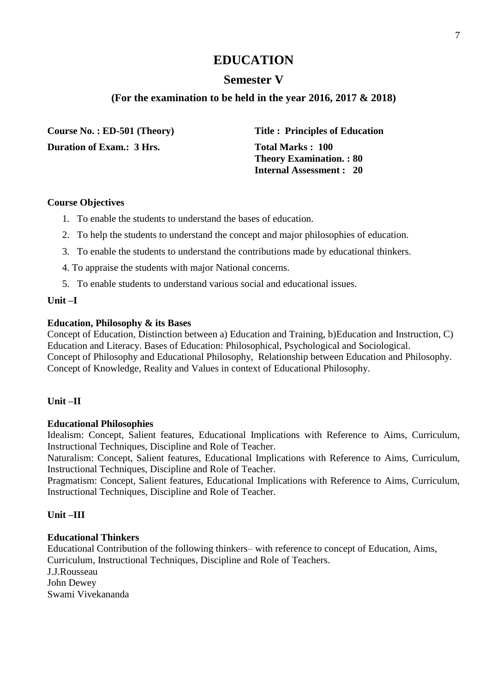## **Semester V**

## **(For the examination to be held in the year 2016, 2017 & 2018)**

**Course No. : ED-501 (Theory) Title : Principles of Education Duration of Exam.: 3 Hrs.** Total Marks : 100

 **Theory Examination. : 80 Internal Assessment : 20**

#### **Course Objectives**

- 1. To enable the students to understand the bases of education.
- 2. To help the students to understand the concept and major philosophies of education.
- 3. To enable the students to understand the contributions made by educational thinkers.
- 4. To appraise the students with major National concerns.
- 5. To enable students to understand various social and educational issues.

#### **Unit –I**

#### **Education, Philosophy & its Bases**

Concept of Education, Distinction between a) Education and Training, b)Education and Instruction, C) Education and Literacy. Bases of Education: Philosophical, Psychological and Sociological. Concept of Philosophy and Educational Philosophy, Relationship between Education and Philosophy. Concept of Knowledge, Reality and Values in context of Educational Philosophy.

#### **Unit –II**

#### **Educational Philosophies**

Idealism: Concept, Salient features, Educational Implications with Reference to Aims, Curriculum, Instructional Techniques, Discipline and Role of Teacher.

Naturalism: Concept, Salient features, Educational Implications with Reference to Aims, Curriculum, Instructional Techniques, Discipline and Role of Teacher.

Pragmatism: Concept, Salient features, Educational Implications with Reference to Aims, Curriculum, Instructional Techniques, Discipline and Role of Teacher.

#### **Unit –III**

### **Educational Thinkers**

Educational Contribution of the following thinkers– with reference to concept of Education, Aims, Curriculum, Instructional Techniques, Discipline and Role of Teachers. J.J.Rousseau John Dewey Swami Vivekananda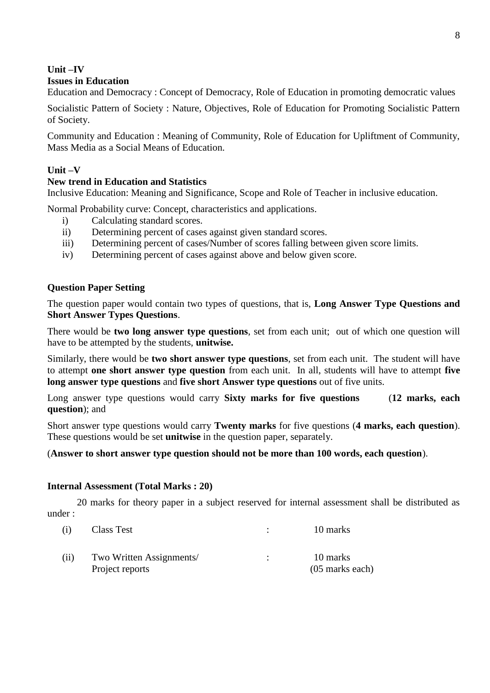#### **Unit –IV Issues in Education**

Education and Democracy : Concept of Democracy, Role of Education in promoting democratic values

Socialistic Pattern of Society : Nature, Objectives, Role of Education for Promoting Socialistic Pattern of Society.

Community and Education : Meaning of Community, Role of Education for Upliftment of Community, Mass Media as a Social Means of Education.

## **Unit –V**

### **New trend in Education and Statistics**

Inclusive Education: Meaning and Significance, Scope and Role of Teacher in inclusive education.

Normal Probability curve: Concept, characteristics and applications.

- i) Calculating standard scores.
- ii) Determining percent of cases against given standard scores.
- iii) Determining percent of cases/Number of scores falling between given score limits.
- iv) Determining percent of cases against above and below given score.

### **Question Paper Setting**

The question paper would contain two types of questions, that is, **Long Answer Type Questions and Short Answer Types Questions**.

There would be **two long answer type questions**, set from each unit; out of which one question will have to be attempted by the students, **unitwise.**

Similarly, there would be **two short answer type questions**, set from each unit. The student will have to attempt **one short answer type question** from each unit. In all, students will have to attempt **five long answer type questions** and **five short Answer type questions** out of five units.

Long answer type questions would carry **Sixty marks for five questions** (**12 marks, each question**); and

Short answer type questions would carry **Twenty marks** for five questions (**4 marks, each question**). These questions would be set **unitwise** in the question paper, separately.

#### (**Answer to short answer type question should not be more than 100 words, each question**).

#### **Internal Assessment (Total Marks : 20)**

20 marks for theory paper in a subject reserved for internal assessment shall be distributed as under :

| $\left(1\right)$ | Class Test                                  | 10 marks                      |
|------------------|---------------------------------------------|-------------------------------|
| (11)             | Two Written Assignments/<br>Project reports | 10 marks<br>$(05$ marks each) |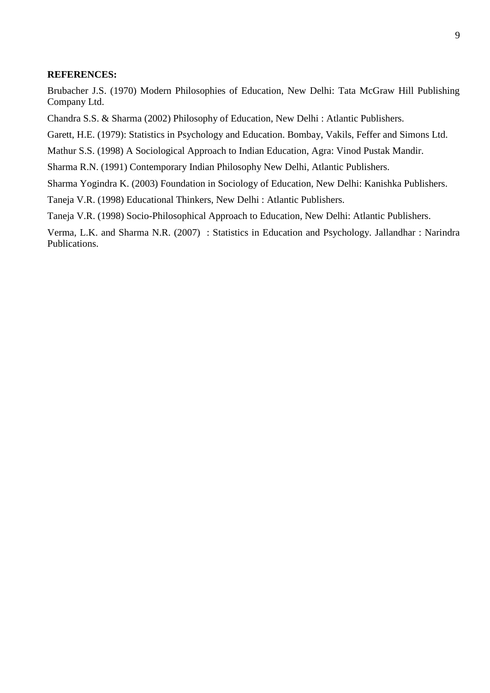#### **REFERENCES:**

Brubacher J.S. (1970) Modern Philosophies of Education, New Delhi: Tata McGraw Hill Publishing Company Ltd.

Chandra S.S. & Sharma (2002) Philosophy of Education, New Delhi : Atlantic Publishers.

Garett, H.E. (1979): Statistics in Psychology and Education. Bombay, Vakils, Feffer and Simons Ltd.

Mathur S.S. (1998) A Sociological Approach to Indian Education, Agra: Vinod Pustak Mandir.

Sharma R.N. (1991) Contemporary Indian Philosophy New Delhi, Atlantic Publishers.

Sharma Yogindra K. (2003) Foundation in Sociology of Education, New Delhi: Kanishka Publishers.

Taneja V.R. (1998) Educational Thinkers, New Delhi : Atlantic Publishers.

Taneja V.R. (1998) Socio-Philosophical Approach to Education, New Delhi: Atlantic Publishers.

Verma, L.K. and Sharma N.R. (2007) : Statistics in Education and Psychology. Jallandhar : Narindra Publications.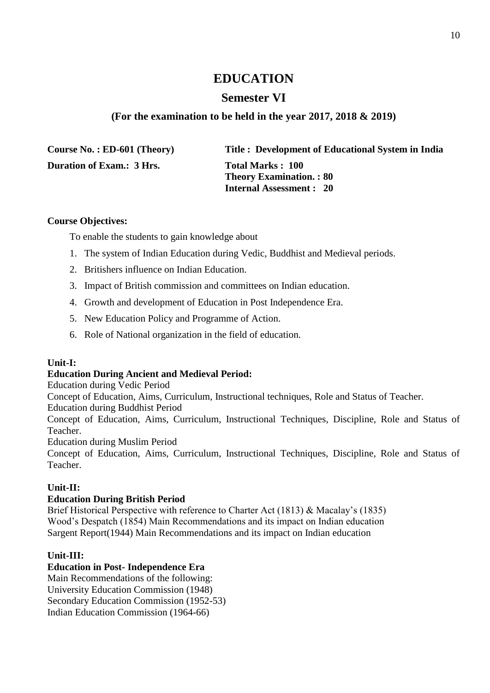## **Semester VI**

## **(For the examination to be held in the year 2017, 2018 & 2019)**

| Course No.: $ED-601$ (Theory)    | Title: Development of Educational System in India                                     |
|----------------------------------|---------------------------------------------------------------------------------------|
| <b>Duration of Exam.: 3 Hrs.</b> | Total Marks: 100<br><b>Theory Examination.: 80</b><br><b>Internal Assessment : 20</b> |

### **Course Objectives:**

To enable the students to gain knowledge about

- 1. The system of Indian Education during Vedic, Buddhist and Medieval periods.
- 2. Britishers influence on Indian Education.
- 3. Impact of British commission and committees on Indian education.
- 4. Growth and development of Education in Post Independence Era.
- 5. New Education Policy and Programme of Action.
- 6. Role of National organization in the field of education.

## **Unit-I:**

## **Education During Ancient and Medieval Period:**

Education during Vedic Period

Concept of Education, Aims, Curriculum, Instructional techniques, Role and Status of Teacher.

Education during Buddhist Period

Concept of Education, Aims, Curriculum, Instructional Techniques, Discipline, Role and Status of Teacher.

Education during Muslim Period

Concept of Education, Aims, Curriculum, Instructional Techniques, Discipline, Role and Status of Teacher.

## **Unit-II:**

## **Education During British Period**

Brief Historical Perspective with reference to Charter Act (1813) & Macalay's (1835) Wood's Despatch (1854) Main Recommendations and its impact on Indian education Sargent Report(1944) Main Recommendations and its impact on Indian education

## **Unit-III:**

## **Education in Post- Independence Era**

Main Recommendations of the following: University Education Commission (1948) Secondary Education Commission (1952-53) Indian Education Commission (1964-66)